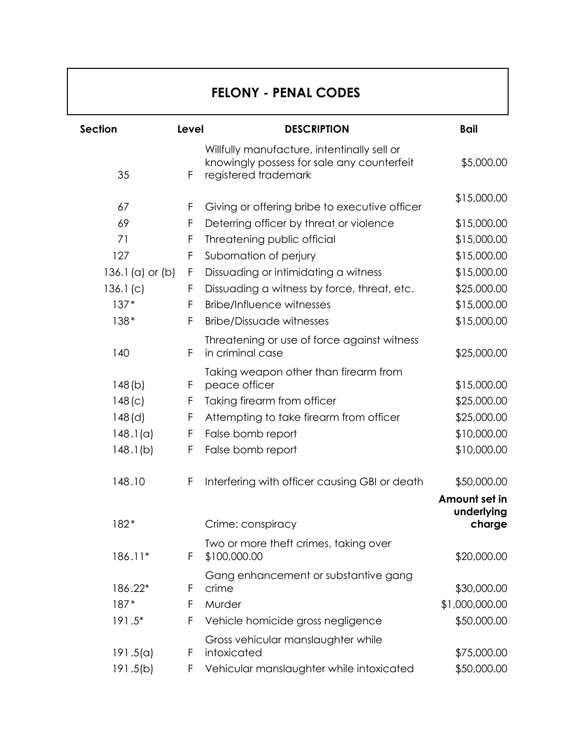## **FELONY - PENAL CODES**

| Section              | Level | <b>DESCRIPTION</b>                                                                                                | <b>Bail</b>    |
|----------------------|-------|-------------------------------------------------------------------------------------------------------------------|----------------|
| 35                   | F     | Willfully manufacture, intentinally sell or<br>knowingly possess for sale any counterfeit<br>registered trademark | \$5,000.00     |
|                      |       |                                                                                                                   |                |
| 67                   | F     | Giving or offering bribe to executive officer                                                                     | \$15,000.00    |
| 69                   | F     | Deterring officer by threat or violence                                                                           | \$15,000.00    |
| 71                   | F     | Threatening public official                                                                                       | \$15,000.00    |
| 127                  | F     | Subornation of perjury                                                                                            | \$15,000.00    |
| 136.1 $(a)$ or $(b)$ | F     | Dissuading or intimidating a witness                                                                              | \$15,000.00    |
| 136.1(c)             | F     | Dissuading a witness by force, threat, etc.                                                                       | \$25,000.00    |
| $137*$               | F     | <b>Bribe/Influence witnesses</b>                                                                                  | \$15,000.00    |
| 138*                 | F     | <b>Bribe/Dissuade witnesses</b>                                                                                   | \$15,000.00    |
|                      |       | Threatening or use of force against witness                                                                       |                |
| 140                  | F     | in criminal case                                                                                                  | \$25,000.00    |
|                      |       | Taking weapon other than firearm from                                                                             |                |
| 148(b)               | F     | peace officer                                                                                                     | \$15,000.00    |
| 148(c)               | F     | Taking firearm from officer                                                                                       | \$25,000.00    |
| $148$ (d)            | F     | Attempting to take firearm from officer                                                                           | \$25,000.00    |
| 148.1(a)             | F     | False bomb report                                                                                                 | \$10,000.00    |
| 148.1(b)             | F     | False bomb report                                                                                                 | \$10,000.00    |
| 148.10               | F     | Interfering with officer causing GBI or death                                                                     | \$50,000.00    |
|                      |       |                                                                                                                   | Amount set in  |
|                      |       |                                                                                                                   | underlying     |
| 182*                 |       | Crime: conspiracy                                                                                                 | charge         |
| 186.11*              | F     | Two or more theft crimes, taking over<br>\$100,000.00                                                             | \$20,000.00    |
|                      |       | Gang enhancement or substantive gang                                                                              |                |
| 186.22*              | F     | crime                                                                                                             | \$30,000.00    |
| $187*$               | F     | Murder                                                                                                            | \$1,000,000.00 |
| 191.5*               | F     | Vehicle homicide gross negligence                                                                                 | \$50,000.00    |
| 191.5(a)             | F     | Gross vehicular manslaughter while<br>intoxicated                                                                 | \$75,000.00    |
| 191.5(b)             | F     | Vehicular manslaughter while intoxicated                                                                          | \$50,000.00    |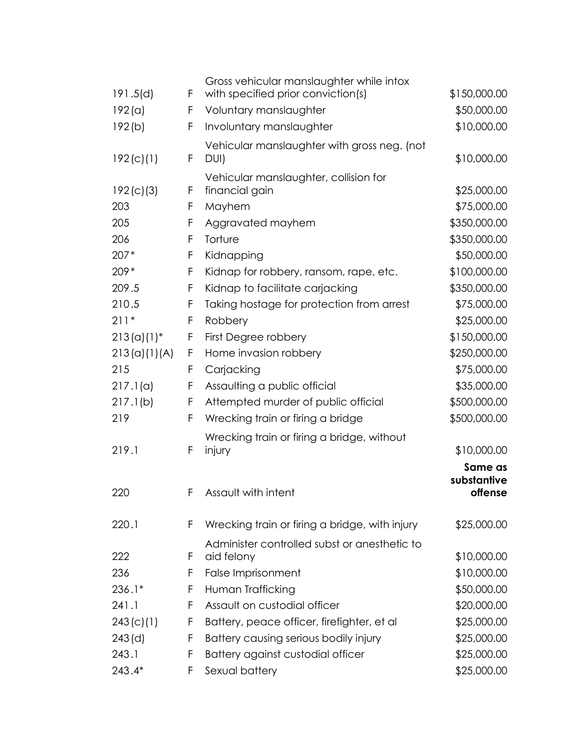|               |   | Gross vehicular manslaughter while intox       |              |
|---------------|---|------------------------------------------------|--------------|
| 191.5(d)      | F | with specified prior conviction(s)             | \$150,000.00 |
| 192(a)        | F | Voluntary manslaughter                         | \$50,000.00  |
| 192(b)        | F | Involuntary manslaughter                       | \$10,000.00  |
|               |   | Vehicular manslaughter with gross neg. (not    |              |
| 192(c)(1)     | F | DUI)                                           | \$10,000.00  |
|               |   | Vehicular manslaughter, collision for          |              |
| 192(c)(3)     | F | financial gain                                 | \$25,000.00  |
| 203           | F | Mayhem                                         | \$75,000.00  |
| 205           | F | Aggravated mayhem                              | \$350,000.00 |
| 206           | F | Torture                                        | \$350,000.00 |
| $207*$        | F | Kidnapping                                     | \$50,000.00  |
| $209*$        | F | Kidnap for robbery, ransom, rape, etc.         | \$100,000.00 |
| 209.5         | F | Kidnap to facilitate carjacking                | \$350,000.00 |
| 210.5         | F | Taking hostage for protection from arrest      | \$75,000.00  |
| $211*$        | F | Robbery                                        | \$25,000.00  |
| $213(a)(1)^*$ | F | First Degree robbery                           | \$150,000.00 |
| 213(a)(1)(A)  | F | Home invasion robbery                          | \$250,000.00 |
| 215           | F | Carjacking                                     | \$75,000.00  |
| 217.1(a)      | F | Assaulting a public official                   | \$35,000.00  |
| 217.1(b)      | F | Attempted murder of public official            | \$500,000.00 |
| 219           | F | Wrecking train or firing a bridge              | \$500,000.00 |
|               |   | Wrecking train or firing a bridge, without     |              |
| 219.1         | F | injury                                         | \$10,000.00  |
|               |   |                                                | Same as      |
|               |   |                                                | substantive  |
| 220           | F | Assault with intent                            | offense      |
| 220.1         | F | Wrecking train or firing a bridge, with injury | \$25,000.00  |
|               |   | Administer controlled subst or anesthetic to   |              |
| 222           | F | aid felony                                     | \$10,000.00  |
| 236           | F | False Imprisonment                             | \$10,000.00  |
| $236.1*$      | F | Human Trafficking                              | \$50,000.00  |
| 241.1         | F | Assault on custodial officer                   | \$20,000.00  |
| 243(c)(1)     | F | Battery, peace officer, firefighter, et al     | \$25,000.00  |
| $243$ (d)     | F | Battery causing serious bodily injury          | \$25,000.00  |
| 243.1         | F | Battery against custodial officer              | \$25,000.00  |
| 243.4*        | F | Sexual battery                                 | \$25,000.00  |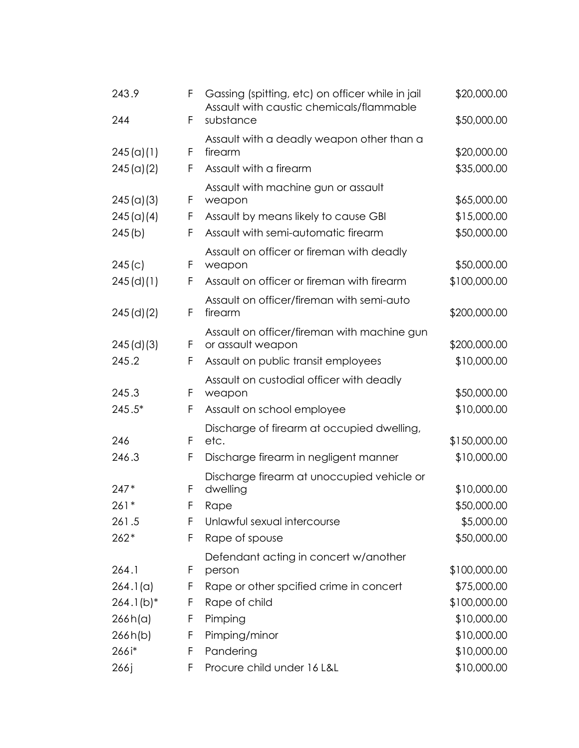| 243.9        | F | Gassing (spitting, etc) on officer while in jail<br>Assault with caustic chemicals/flammable | \$20,000.00  |
|--------------|---|----------------------------------------------------------------------------------------------|--------------|
| 244          | F | substance                                                                                    | \$50,000.00  |
|              |   | Assault with a deadly weapon other than a                                                    |              |
| 245 (a)(1)   | F | firearm                                                                                      | \$20,000.00  |
| 245 (a)(2)   | F | Assault with a firearm                                                                       | \$35,000.00  |
| 245 (a)(3)   | F | Assault with machine gun or assault<br>weapon                                                | \$65,000.00  |
| 245 (a)(4)   | F | Assault by means likely to cause GBI                                                         | \$15,000.00  |
| 245(b)       | F | Assault with semi-automatic firearm                                                          | \$50,000.00  |
| 245(c)       | F | Assault on officer or fireman with deadly<br>weapon                                          | \$50,000.00  |
| $245$ (d)(1) | F | Assault on officer or fireman with firearm                                                   | \$100,000.00 |
|              |   | Assault on officer/fireman with semi-auto                                                    |              |
| 245(d)(2)    | F | firearm                                                                                      | \$200,000.00 |
|              |   | Assault on officer/fireman with machine gun                                                  |              |
| 245(d)(3)    | F | or assault weapon                                                                            | \$200,000.00 |
| 245.2        | F | Assault on public transit employees                                                          | \$10,000.00  |
| 245.3        | F | Assault on custodial officer with deadly<br>weapon                                           | \$50,000.00  |
| 245.5*       | F | Assault on school employee                                                                   | \$10,000.00  |
|              |   | Discharge of firearm at occupied dwelling,                                                   |              |
| 246          | F | etc.                                                                                         | \$150,000.00 |
| 246.3        | F | Discharge firearm in negligent manner                                                        | \$10,000.00  |
|              |   | Discharge firearm at unoccupied vehicle or                                                   |              |
| $247*$       | F | dwelling                                                                                     | \$10,000.00  |
| $261*$       | F | Rape                                                                                         | \$50,000.00  |
| 261.5        | F | Unlawful sexual intercourse                                                                  | \$5,000.00   |
| $262*$       | F | Rape of spouse                                                                               | \$50,000.00  |
| 264.1        | F | Defendant acting in concert w/another<br>person                                              | \$100,000.00 |
| 264.1(a)     | F | Rape or other spcified crime in concert                                                      | \$75,000.00  |
| $264.1(b)*$  | F | Rape of child                                                                                | \$100,000.00 |
| 266h(a)      | F | Pimping                                                                                      | \$10,000.00  |
| 266h(b)      | F | Pimping/minor                                                                                | \$10,000.00  |
| 266i*        | F | Pandering                                                                                    | \$10,000.00  |
| 266j         | F | Procure child under 16 L&L                                                                   | \$10,000.00  |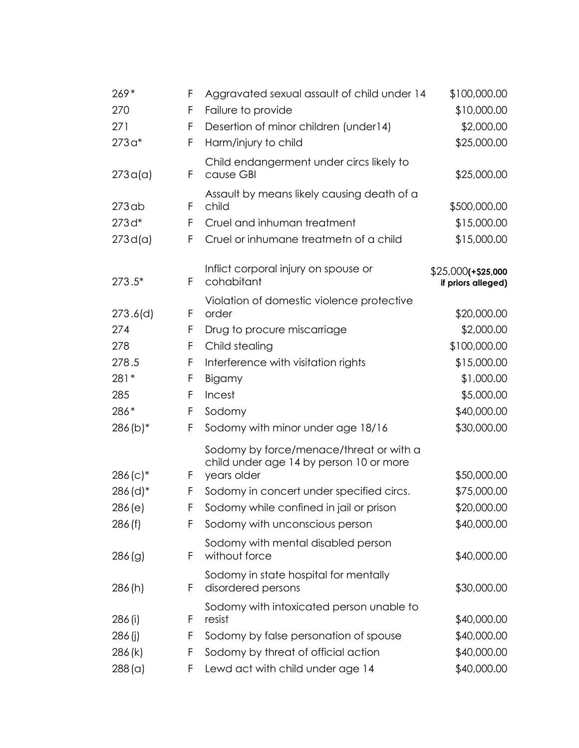| $269*$                 | F  | Aggravated sexual assault of child under 14                                        | \$100,000.00                               |
|------------------------|----|------------------------------------------------------------------------------------|--------------------------------------------|
| 270                    | F  | Failure to provide                                                                 | \$10,000.00                                |
| 271                    | F  | Desertion of minor children (under14)                                              | \$2,000.00                                 |
| $273a*$                | F  | Harm/injury to child                                                               | \$25,000.00                                |
| 273a(a)                | F  | Child endangerment under circs likely to<br>cause GBI                              | \$25,000.00                                |
| $273$ ab               | F  | Assault by means likely causing death of a<br>child                                | \$500,000.00                               |
| $273d*$                | F  | Cruel and inhuman treatment                                                        | \$15,000.00                                |
| 273 d(a)               | F  | Cruel or inhumane treatmetn of a child                                             | \$15,000.00                                |
| 273.5*                 | F  | Inflict corporal injury on spouse or<br>cohabitant                                 | $$25,000$ (+\$25,000<br>if priors alleged) |
|                        |    | Violation of domestic violence protective                                          |                                            |
| 273.6(d)               | F  | order                                                                              | \$20,000.00                                |
| 274                    | F  | Drug to procure miscarriage                                                        | \$2,000.00                                 |
| 278                    | F  | Child stealing                                                                     | \$100,000.00                               |
| 278.5                  | F  | Interference with visitation rights                                                | \$15,000.00                                |
| 281*                   | F  | Bigamy                                                                             | \$1,000.00                                 |
| 285                    | F  | Incest                                                                             | \$5,000.00                                 |
| 286*                   | F  | Sodomy                                                                             | \$40,000.00                                |
| $286(b)*$              | F  | Sodomy with minor under age 18/16                                                  | \$30,000.00                                |
|                        |    | Sodomy by force/menace/threat or with a<br>child under age 14 by person 10 or more |                                            |
| $286(c)*$              | F  | years older                                                                        | \$50,000.00                                |
| $286$ (d) <sup>*</sup> | F  | Sodomy in concert under specified circs.                                           | \$75,000.00<br>\$20,000.00                 |
| 286(e)                 |    | Sodomy while confined in jail or prison                                            | \$40,000.00                                |
| 286(f)                 | F. | Sodomy with unconscious person                                                     |                                            |
| 286(g)                 | F  | Sodomy with mental disabled person<br>without force                                | \$40,000.00                                |
| 286(h)                 | F  | Sodomy in state hospital for mentally<br>disordered persons                        | \$30,000.00                                |
| 286 (i)                | F  | Sodomy with intoxicated person unable to<br>resist                                 | \$40,000.00                                |
| 286(j)                 | F  | Sodomy by false personation of spouse                                              | \$40,000.00                                |
| 286 (k)                | F  | Sodomy by threat of official action                                                | \$40,000.00                                |
| 288 (a)                | F  | Lewd act with child under age 14                                                   | \$40,000.00                                |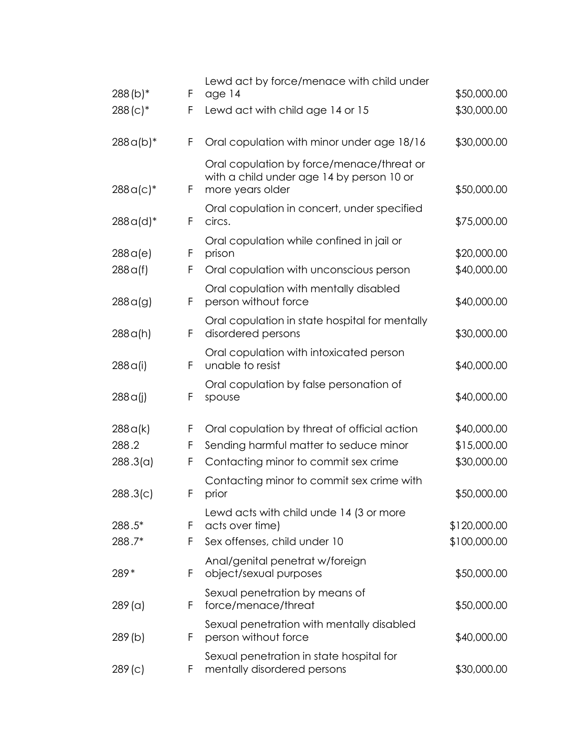| $288(b)*$   | F  | Lewd act by force/menace with child under<br>age 14                                                        | \$50,000.00  |
|-------------|----|------------------------------------------------------------------------------------------------------------|--------------|
| $288(c)*$   | F  | Lewd act with child age 14 or 15                                                                           | \$30,000.00  |
| $288a(b)*$  | F  | Oral copulation with minor under age 18/16                                                                 | \$30,000.00  |
| $288a(c)^*$ | F  | Oral copulation by force/menace/threat or<br>with a child under age 14 by person 10 or<br>more years older | \$50,000.00  |
| $288a(d)^*$ | F  | Oral copulation in concert, under specified<br>circs.                                                      | \$75,000.00  |
| 288a(e)     | F  | Oral copulation while confined in jail or<br>prison                                                        | \$20,000.00  |
| 288q(f)     | F  | Oral copulation with unconscious person                                                                    | \$40,000.00  |
| 288q(g)     | F  | Oral copulation with mentally disabled<br>person without force                                             | \$40,000.00  |
| 288a(h)     | F  | Oral copulation in state hospital for mentally<br>disordered persons                                       | \$30,000.00  |
| 288q(i)     | F  | Oral copulation with intoxicated person<br>unable to resist                                                | \$40,000.00  |
| 288q(i)     | F  | Oral copulation by false personation of<br>spouse                                                          | \$40,000.00  |
| 288a(k)     | F  | Oral copulation by threat of official action                                                               | \$40,000.00  |
| 288.2       | F  | Sending harmful matter to seduce minor                                                                     | \$15,000.00  |
| 288.3(a)    | F  | Contacting minor to commit sex crime                                                                       | \$30,000.00  |
| 288.3(c)    | F  | Contacting minor to commit sex crime with<br>prior                                                         | \$50,000.00  |
| 288.5*      | F  | Lewd acts with child unde 14 (3 or more<br>acts over time)                                                 | \$120,000.00 |
| 288.7*      | F  | Sex offenses, child under 10                                                                               | \$100,000.00 |
| 289*        | F  | Anal/genital penetrat w/foreign<br>object/sexual purposes                                                  | \$50,000.00  |
| $289$ (a)   | F. | Sexual penetration by means of<br>force/menace/threat                                                      | \$50,000.00  |
| 289(b)      | F  | Sexual penetration with mentally disabled<br>person without force                                          | \$40,000.00  |
| 289(c)      | F  | Sexual penetration in state hospital for<br>mentally disordered persons                                    | \$30,000.00  |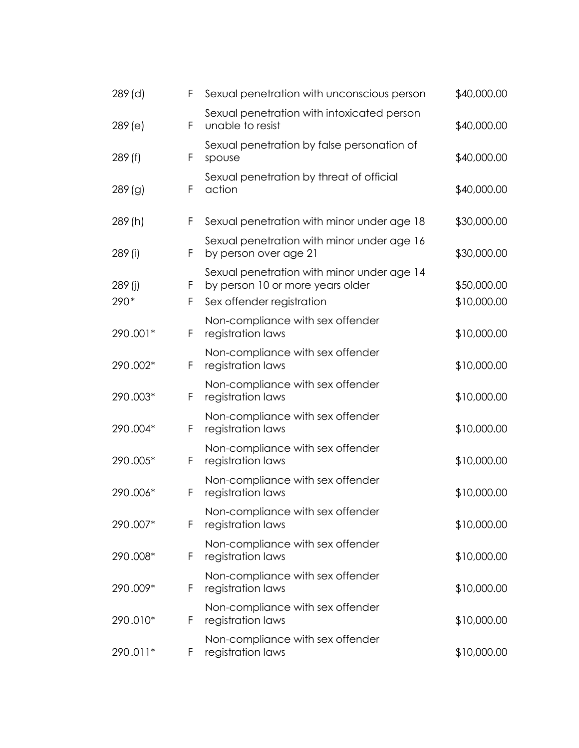| 289 (d)         | F      | Sexual penetration with unconscious person                                                                  | \$40,000.00                |
|-----------------|--------|-------------------------------------------------------------------------------------------------------------|----------------------------|
| 289(e)          | F      | Sexual penetration with intoxicated person<br>unable to resist                                              | \$40,000.00                |
| 289(f)          | F      | Sexual penetration by false personation of<br>spouse                                                        | \$40,000.00                |
| 289(g)          | F      | Sexual penetration by threat of official<br>action                                                          | \$40,000.00                |
| 289 (h)         | F      | Sexual penetration with minor under age 18                                                                  | \$30,000.00                |
| 289 (i)         | F      | Sexual penetration with minor under age 16<br>by person over age 21                                         | \$30,000.00                |
| 289 (j)<br>290* | F<br>F | Sexual penetration with minor under age 14<br>by person 10 or more years older<br>Sex offender registration | \$50,000.00<br>\$10,000.00 |
| 290.001*        | F      | Non-compliance with sex offender<br>registration laws                                                       | \$10,000.00                |
| 290.002*        | F      | Non-compliance with sex offender<br>registration laws                                                       | \$10,000.00                |
| 290.003*        | F      | Non-compliance with sex offender<br>registration laws                                                       | \$10,000.00                |
| 290.004*        | F      | Non-compliance with sex offender<br>registration laws                                                       | \$10,000.00                |
| 290.005*        | F      | Non-compliance with sex offender<br>registration laws                                                       | \$10,000.00                |
| 290.006*        | F      | Non-compliance with sex offender<br>registration laws                                                       | \$10,000.00                |
| 290.007*        | F      | Non-compliance with sex offender<br>registration laws                                                       | \$10,000.00                |
| 290.008*        | F      | Non-compliance with sex offender<br>registration laws                                                       | \$10,000.00                |
| 290.009*        | F      | Non-compliance with sex offender<br>registration laws                                                       | \$10,000.00                |
| 290.010*        | F      | Non-compliance with sex offender<br>registration laws                                                       | \$10,000.00                |
| 290.011*        | F      | Non-compliance with sex offender<br>registration laws                                                       | \$10,000.00                |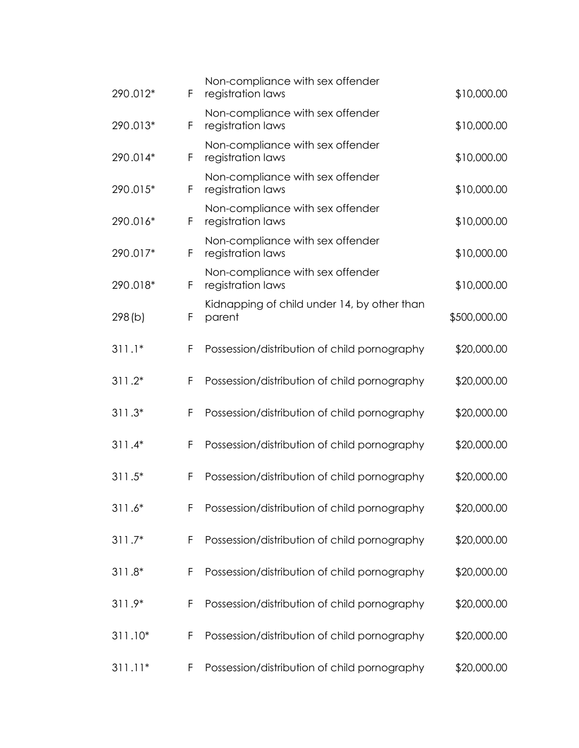| 290.012*  | F | Non-compliance with sex offender<br>registration laws | \$10,000.00  |
|-----------|---|-------------------------------------------------------|--------------|
| 290.013*  | F | Non-compliance with sex offender<br>registration laws | \$10,000.00  |
| 290.014*  | F | Non-compliance with sex offender<br>registration laws | \$10,000.00  |
| 290.015*  | F | Non-compliance with sex offender<br>registration laws | \$10,000.00  |
| 290.016*  | F | Non-compliance with sex offender<br>registration laws | \$10,000.00  |
| 290.017*  | F | Non-compliance with sex offender<br>registration laws | \$10,000.00  |
| 290.018*  | F | Non-compliance with sex offender<br>registration laws | \$10,000.00  |
| 298(b)    | F | Kidnapping of child under 14, by other than<br>parent | \$500,000.00 |
| $311.1*$  | F | Possession/distribution of child pornography          | \$20,000.00  |
| $311.2*$  | F | Possession/distribution of child pornography          | \$20,000.00  |
| $311.3*$  | F | Possession/distribution of child pornography          | \$20,000.00  |
| $311.4*$  | F | Possession/distribution of child pornography          | \$20,000.00  |
| $311.5*$  | F | Possession/distribution of child pornography          | \$20,000.00  |
| $311.6*$  | F | Possession/distribution of child pornography          | \$20,000.00  |
| $311.7*$  | F | Possession/distribution of child pornography          | \$20,000.00  |
| $311.8*$  | F | Possession/distribution of child pornography          | \$20,000.00  |
| 311.9*    | F | Possession/distribution of child pornography          | \$20,000.00  |
| $311.10*$ | F | Possession/distribution of child pornography          | \$20,000.00  |
| $311.11*$ | F | Possession/distribution of child pornography          | \$20,000.00  |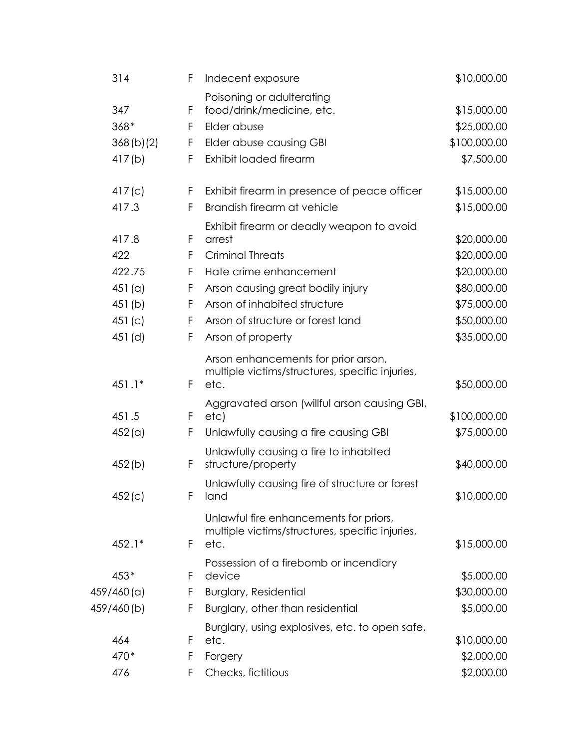| 314         | F  | Indecent exposure                                                                                 | \$10,000.00  |
|-------------|----|---------------------------------------------------------------------------------------------------|--------------|
|             |    | Poisoning or adulterating                                                                         |              |
| 347         | F  | food/drink/medicine, etc.                                                                         | \$15,000.00  |
| $368*$      | F  | Elder abuse                                                                                       | \$25,000.00  |
| 368(b)(2)   | F  | Elder abuse causing GBI                                                                           | \$100,000.00 |
| 417(b)      | F  | Exhibit loaded firearm                                                                            | \$7,500.00   |
| 417(c)      | F. | Exhibit firearm in presence of peace officer                                                      | \$15,000.00  |
| 417.3       | F  | Brandish firearm at vehicle                                                                       | \$15,000.00  |
|             |    | Exhibit firearm or deadly weapon to avoid                                                         |              |
| 417.8       | F  | arrest                                                                                            | \$20,000.00  |
| 422         | F  | <b>Criminal Threats</b>                                                                           | \$20,000.00  |
| 422.75      | F  | Hate crime enhancement                                                                            | \$20,000.00  |
| 451 (a)     | F  | Arson causing great bodily injury                                                                 | \$80,000.00  |
| 451(b)      | F  | Arson of inhabited structure                                                                      | \$75,000.00  |
| 451(c)      | F  | Arson of structure or forest land                                                                 | \$50,000.00  |
| $451$ (d)   | F  | Arson of property                                                                                 | \$35,000.00  |
| 451.1*      | F  | Arson enhancements for prior arson,<br>multiple victims/structures, specific injuries,<br>etc.    | \$50,000.00  |
| 451.5       | F  | Aggravated arson (willful arson causing GBI,<br>etc)                                              | \$100,000.00 |
| 452 (a)     | F  | Unlawfully causing a fire causing GBI                                                             | \$75,000.00  |
|             |    | Unlawfully causing a fire to inhabited                                                            |              |
| 452(b)      | F  | structure/property                                                                                | \$40,000.00  |
| 452(c)      | F. | Unlawfully causing fire of structure or forest<br>land                                            | \$10,000.00  |
| 452.1*      | F  | Unlawful fire enhancements for priors,<br>multiple victims/structures, specific injuries,<br>etc. | \$15,000.00  |
|             |    | Possession of a firebomb or incendiary                                                            |              |
| 453*        | F  | device                                                                                            | \$5,000.00   |
| 459/460 (a) | F  | <b>Burglary, Residential</b>                                                                      | \$30,000.00  |
| 459/460(b)  | F  | Burglary, other than residential                                                                  | \$5,000.00   |
| 464         | F  | Burglary, using explosives, etc. to open safe,<br>etc.                                            | \$10,000.00  |
| 470*        | F  | Forgery                                                                                           | \$2,000.00   |
| 476         | F  | Checks, fictitious                                                                                | \$2,000.00   |
|             |    |                                                                                                   |              |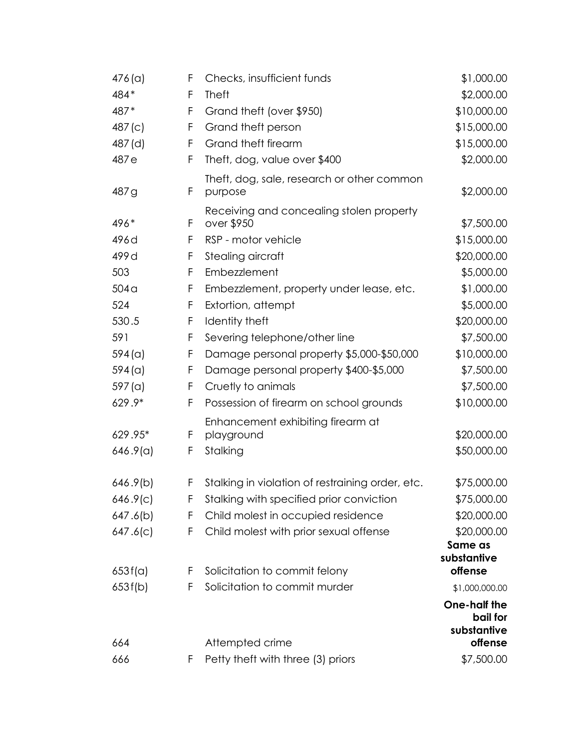| $476$ (a)        | F  | Checks, insufficient funds                             | \$1,000.00                              |
|------------------|----|--------------------------------------------------------|-----------------------------------------|
| 484*             | F  | <b>Theft</b>                                           | \$2,000.00                              |
| 487*             | F  | Grand theft (over \$950)                               | \$10,000.00                             |
| 487(c)           | F  | Grand theft person                                     | \$15,000.00                             |
| 487 (d)          | F  | Grand theft firearm                                    | \$15,000.00                             |
| 487e             | F  | Theft, dog, value over \$400                           | \$2,000.00                              |
| 487g             | F  | Theft, dog, sale, research or other common<br>purpose  | \$2,000.00                              |
| 496*             | F  | Receiving and concealing stolen property<br>over \$950 | \$7,500.00                              |
| 496d             | F  | RSP - motor vehicle                                    | \$15,000.00                             |
| 499 d            | F  | Stealing aircraft                                      | \$20,000.00                             |
| 503              | F  | Embezzlement                                           | \$5,000.00                              |
| 504 <sub>q</sub> | F  | Embezzlement, property under lease, etc.               | \$1,000.00                              |
| 524              | F  | Extortion, attempt                                     | \$5,000.00                              |
| 530.5            | F  | Identity theft                                         | \$20,000.00                             |
| 591              | F  | Severing telephone/other line                          | \$7,500.00                              |
| $594($ a)        | F  | Damage personal property \$5,000-\$50,000              | \$10,000.00                             |
| $594$ (a)        | F  | Damage personal property \$400-\$5,000                 | \$7,500.00                              |
| $597$ (a)        | F  | Cruetly to animals                                     | \$7,500.00                              |
| 629.9*           | F  | Possession of firearm on school grounds                | \$10,000.00                             |
|                  |    | Enhancement exhibiting firearm at                      |                                         |
| 629.95*          | F  | playground                                             | \$20,000.00                             |
| 646.9(a)         | F  | Stalking                                               | \$50,000.00                             |
| 646.9(b)         | F  | Stalking in violation of restraining order, etc.       | \$75,000.00                             |
| 646.9(c)         | F. | Stalking with specified prior conviction               | \$75,000.00                             |
| 647.6(b)         | F  | Child molest in occupied residence                     | \$20,000.00                             |
| 647.6(c)         | F  | Child molest with prior sexual offense                 | \$20,000.00                             |
| 653f(a)          | F  | Solicitation to commit felony                          | Same as<br>substantive<br>offense       |
| 653f(b)          | F  | Solicitation to commit murder                          | \$1,000,000.00                          |
|                  |    |                                                        | One-half the<br>bail for<br>substantive |
| 664              |    | Attempted crime                                        | offense                                 |
| 666              | F  | Petty theft with three (3) priors                      | \$7,500.00                              |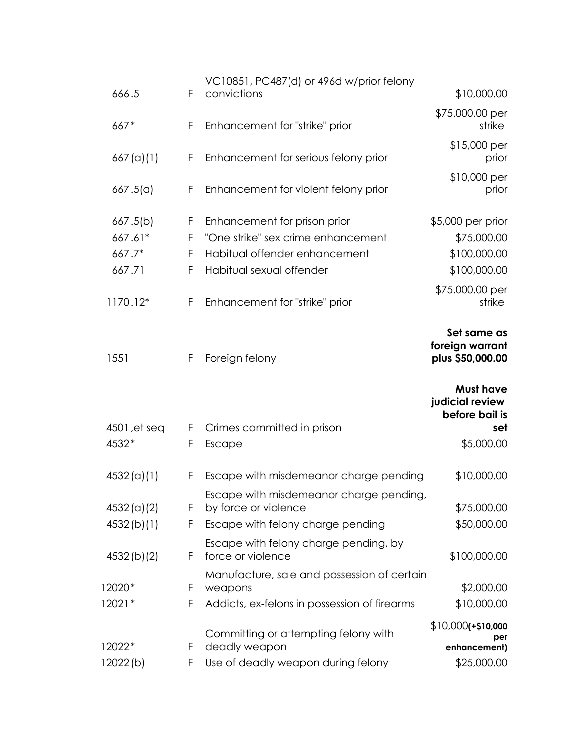|                           |        | VC10851, PC487(d) or 496d w/prior felony                        |                                                    |
|---------------------------|--------|-----------------------------------------------------------------|----------------------------------------------------|
| 666.5                     | F      | convictions                                                     | \$10,000.00                                        |
| $667*$                    | F      | Enhancement for "strike" prior                                  | \$75.000.00 per<br>strike                          |
| 667 (a)(1)                | F      | Enhancement for serious felony prior                            | \$15,000 per<br>prior                              |
| 667.5(a)                  | F      | Enhancement for violent felony prior                            | \$10,000 per<br>prior                              |
| 667.5(b)                  | F      | Enhancement for prison prior                                    | \$5,000 per prior                                  |
| 667.61*                   | F      | "One strike" sex crime enhancement                              | \$75,000.00                                        |
| 667.7*                    | F      | Habitual offender enhancement                                   | \$100,000.00                                       |
| 667.71                    | F      | Habitual sexual offender                                        | \$100,000.00                                       |
| 1170.12*                  | F      | Enhancement for "strike" prior                                  | \$75.000.00 per<br>strike                          |
| 1551                      | F      | Foreign felony                                                  | Set same as<br>foreign warrant<br>plus \$50,000.00 |
|                           |        |                                                                 | <b>Must have</b><br>judicial review                |
|                           |        |                                                                 | before bail is                                     |
| 4501, et seq              | F      | Crimes committed in prison                                      | set                                                |
| 4532*                     | F      | Escape                                                          | \$5,000.00                                         |
| 4532(a)(1)                | F      | Escape with misdemeanor charge pending                          | \$10,000.00                                        |
|                           | F      | Escape with misdemeanor charge pending,<br>by force or violence | \$75,000.00                                        |
| 4532 (a)(2)<br>4532(b)(1) | F      | Escape with felony charge pending                               | \$50,000.00                                        |
| 4532(b)(2)                | F      | Escape with felony charge pending, by<br>force or violence      | \$100,000.00                                       |
|                           |        | Manufacture, sale and possession of certain                     |                                                    |
| 12020*<br>$12021*$        | F<br>F | weapons                                                         | \$2,000.00<br>\$10,000.00                          |
|                           |        | Addicts, ex-felons in possession of firearms                    |                                                    |
| 12022*                    | F      | Committing or attempting felony with<br>deadly weapon           | $$10,000$ (+\$10,000<br>per<br>enhancement)        |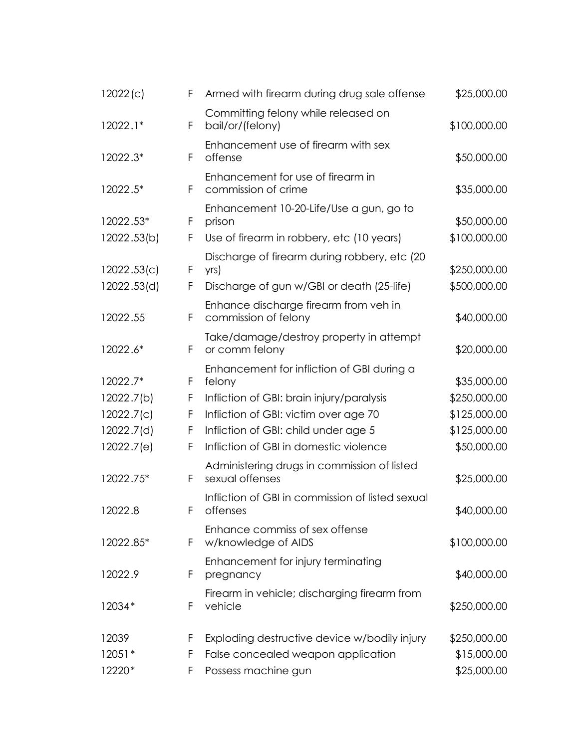| 12022(c)                   | F      | Armed with firearm during drug sale offense                                                        | \$25,000.00                  |
|----------------------------|--------|----------------------------------------------------------------------------------------------------|------------------------------|
| $12022.1*$                 | F      | Committing felony while released on<br>bail/or/(felony)                                            | \$100,000.00                 |
| 12022.3*                   | F      | Enhancement use of firearm with sex<br>offense                                                     | \$50,000.00                  |
| 12022.5*                   | F      | Enhancement for use of firearm in<br>commission of crime                                           | \$35,000.00                  |
| 12022.53*                  | F      | Enhancement 10-20-Life/Use a gun, go to<br>prison                                                  | \$50,000.00                  |
| 12022.53(b)                | F      | Use of firearm in robbery, etc (10 years)                                                          | \$100,000.00                 |
| 12022.53(c)<br>12022.53(d) | F<br>F | Discharge of firearm during robbery, etc (20)<br>yrs)<br>Discharge of gun w/GBI or death (25-life) | \$250,000.00<br>\$500,000.00 |
| 12022.55                   | F      | Enhance discharge firearm from veh in<br>commission of felony                                      | \$40,000.00                  |
| 12022.6*                   | F      | Take/damage/destroy property in attempt<br>or comm felony                                          | \$20,000.00                  |
| 12022.7*                   | F      | Enhancement for infliction of GBI during a<br>felony                                               | \$35,000.00                  |
| 12022.7(b)                 | F      | Infliction of GBI: brain injury/paralysis                                                          | \$250,000.00                 |
| 12022.7(c)                 | F      | Infliction of GBI: victim over age 70                                                              | \$125,000.00                 |
| 12022.7(d)                 | F      | Infliction of GBI: child under age 5                                                               | \$125,000.00                 |
| 12022.7(e)                 | F      | Infliction of GBI in domestic violence                                                             | \$50,000.00                  |
| 12022.75*                  | F      | Administering drugs in commission of listed<br>sexual offenses                                     | \$25,000.00                  |
| 12022.8                    | F      | Infliction of GBI in commission of listed sexual<br>offenses                                       | \$40,000.00                  |
| 12022.85*                  | F      | Enhance commiss of sex offense<br>w/knowledge of AIDS                                              | \$100,000.00                 |
| 12022.9                    | F      | Enhancement for injury terminating<br>pregnancy                                                    | \$40,000.00                  |
| 12034*                     | F      | Firearm in vehicle; discharging firearm from<br>vehicle                                            | \$250,000.00                 |
| 12039                      | F      | Exploding destructive device w/bodily injury                                                       | \$250,000.00                 |
| $12051*$                   | F      | False concealed weapon application                                                                 | \$15,000.00                  |
| 12220*                     | F      | Possess machine gun                                                                                | \$25,000.00                  |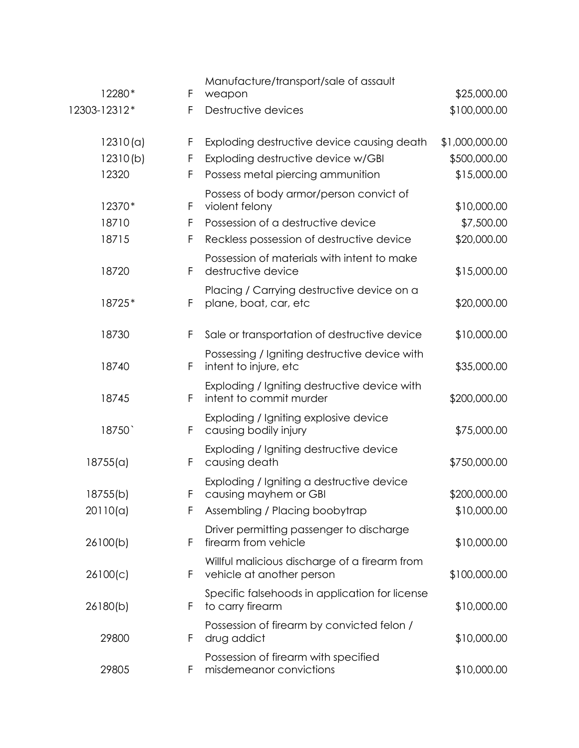| 12280*       | F | Manufacture/transport/sale of assault<br>weapon                            | \$25,000.00    |
|--------------|---|----------------------------------------------------------------------------|----------------|
| 12303-12312* | F | Destructive devices                                                        | \$100,000.00   |
| 12310(a)     | F | Exploding destructive device causing death                                 | \$1,000,000.00 |
| 12310(b)     | F | Exploding destructive device w/GBI                                         | \$500,000.00   |
| 12320        | F | Possess metal piercing ammunition                                          | \$15,000.00    |
| 12370*       | F | Possess of body armor/person convict of<br>violent felony                  | \$10,000.00    |
| 18710        | F | Possession of a destructive device                                         | \$7,500.00     |
| 18715        | F | Reckless possession of destructive device                                  | \$20,000.00    |
| 18720        | F | Possession of materials with intent to make<br>destructive device          | \$15,000.00    |
| 18725*       | F | Placing / Carrying destructive device on a<br>plane, boat, car, etc        | \$20,000.00    |
| 18730        | F | Sale or transportation of destructive device                               | \$10,000.00    |
| 18740        | F | Possessing / Igniting destructive device with<br>intent to injure, etc     | \$35,000.00    |
| 18745        | F | Exploding / Igniting destructive device with<br>intent to commit murder    | \$200,000.00   |
| 18750        | F | Exploding / Igniting explosive device<br>causing bodily injury             | \$75,000.00    |
| 18755(a)     | F | Exploding / Igniting destructive device<br>causing death                   | \$750,000.00   |
| 18755(b)     | F | Exploding / Igniting a destructive device<br>causing mayhem or GBI         | \$200,000.00   |
| 20110(a)     | F | Assembling / Placing boobytrap                                             | \$10,000.00    |
| 26100(b)     | F | Driver permitting passenger to discharge<br>firearm from vehicle           | \$10,000.00    |
| 26100(c)     | F | Willful malicious discharge of a firearm from<br>vehicle at another person | \$100,000.00   |
| 26180(b)     | F | Specific falsehoods in application for license<br>to carry firearm         | \$10,000.00    |
| 29800        | F | Possession of firearm by convicted felon /<br>drug addict                  | \$10,000.00    |
| 29805        | F | Possession of firearm with specified<br>misdemeanor convictions            | \$10,000.00    |